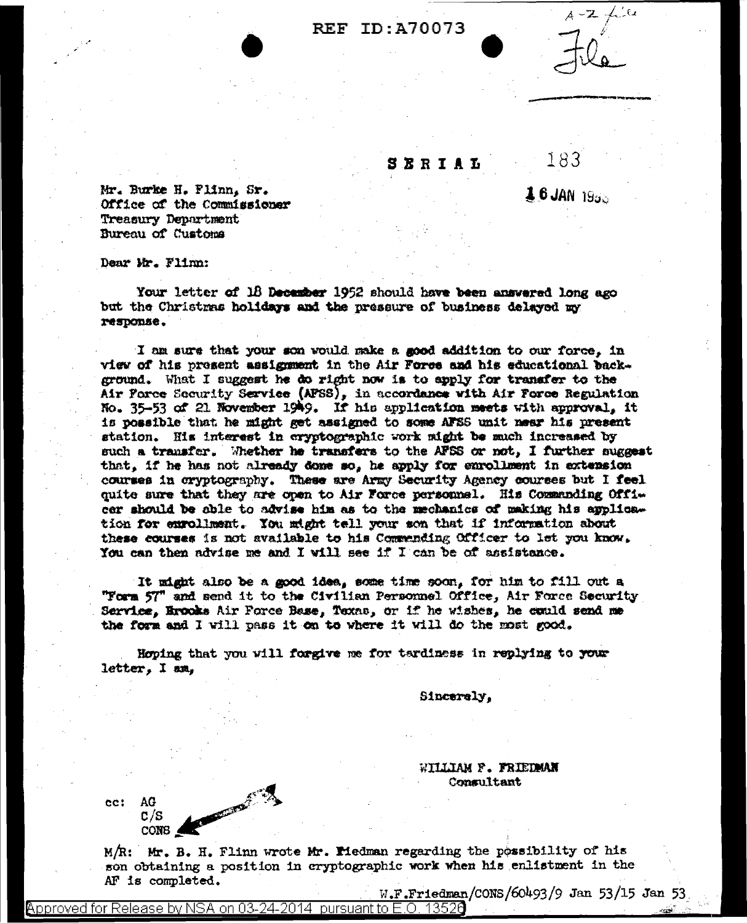## **REF ID: A70073**

SERIAL

 $16$  JAN  $1955$ 

183

Mr. Burke H. Flinn. Sr. Office of the Commissioner Treasury Department Bureau of Customa

Dear Mr. Flinn:

Your letter of 18 December 1952 should have been answered long ago but the Christmas holidays and the pressure of business delayed my response.

I am sure that your son vould make a good addition to our force. in view of his present assignment in the Air Force and his educational background. What I suggest he do right now is to apply for transfer to the Air Force Security Service (APSS), in accordance with Air Force Regulation No. 35-53 of 21 November 1949. If his application meets with approval, it is possible that he might get assigned to some AFSS unit near his present station. His interest in cryptographic work might be much increased by such a transfer. Whether he transfers to the AFSS or not, I further suggest that, if he has not already dome so, he apply for enrollment in extension courses in cryptography. These are Army Security Agency courses but I feel quite sure that they are open to Air Force personnel. His Commanding Officer should be oble to advise him as to the mechanics of making his applica. tion for exrollment. You might tell your son that if information about these courses is not available to his Commending Officer to let you know. You can then advise me and I will see if I can be of assistance.

It might also be a good idea, some time soon, for him to fill out a "Form 57" and send it to the Civilian Personnel Office, Air Force Security Service, Erooks Air Force Base, Texas, or if he wishes, he could send me the form and I will pass it on to where it will do the most good.

Hoping that you will forgive me for tardiness in replying to your letter, I am,

Sincerely.

WILLIAM F. FRIEDMAN Consultant

W.F.Friedman/CONS/60493/9 Jan 53/15 Jan 53

**CONTRACTOR** cc: AG  $C/S$ CONB 4

M/R: Mr. B. H. Flinn wrote Mr. Medman regarding the possibility of his son obtaining a position in cryptographic work when his enlistment in the AF is completed.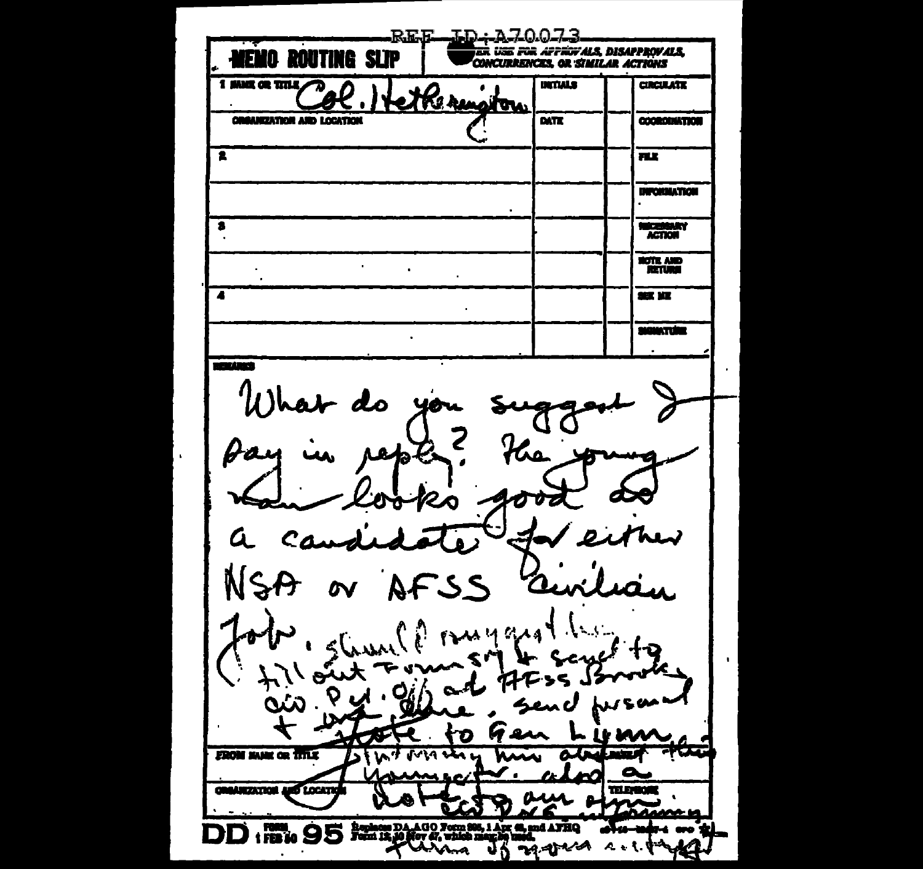**REE ID:A70073** ER USE FOR AFFIGYALS, DISAPPROVALS, **NEMO ROUTING SLIP CONCURRENCES, OR SIMILAR ACTIONS** 1 MMX OR TITLE **UNTIALS CIRCULATE** Kera m **ORGANIZATION AND LOCATION** DATE **COORDINATION** Ŧ n r **INFORMATION**  $\bullet$  $\bullet$ **NECESSARY**<br>ACTION **ROTE AND**  $\epsilon$  $\ddot{\phantom{a}}$  $\blacktriangle$ 365. JOZ **SIGNATURE**  $\ddot{\phantom{a}}$ **TELLIS** What do Z 10 D n Q  $i$  ruygra r e **FROM MARK OR TITLE CREASEZATION AND LOCATE TELEVIKO** 1 FORM ODE Begines DAAGO Form 806, 1 Apr 62, and AFRQ 小人人  $A + I$ . υņ. ana ጉታ